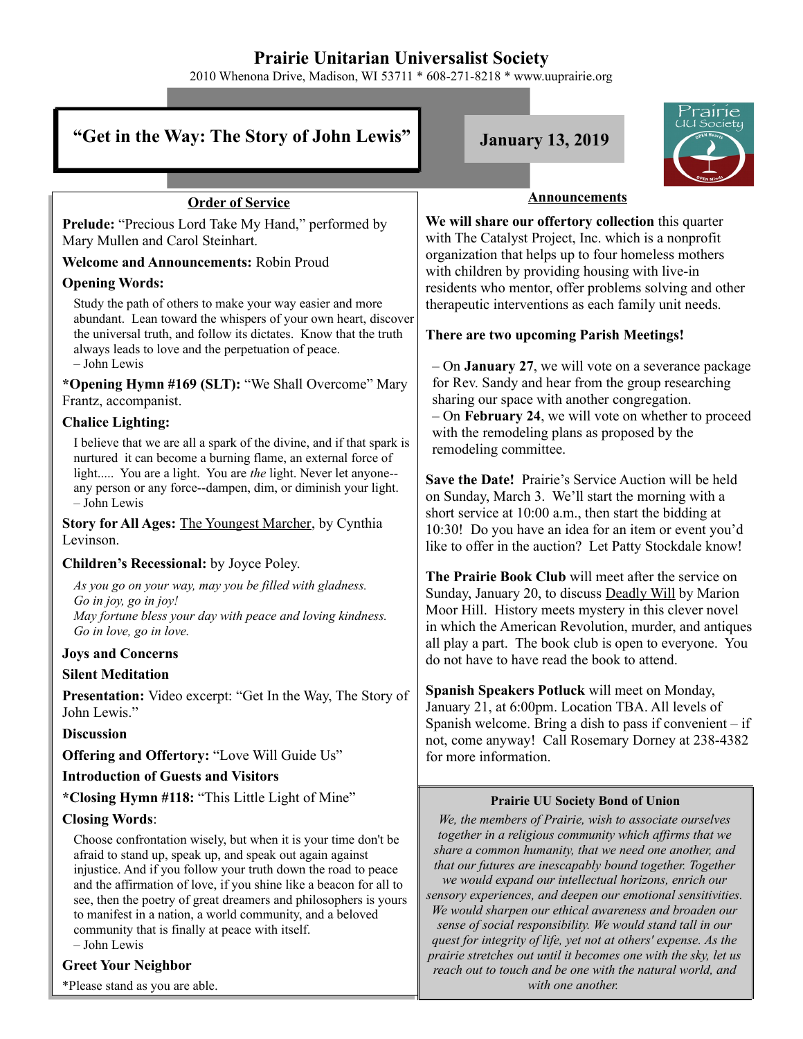# **Prairie Unitarian Universalist Society**

2010 Whenona Drive, Madison, WI 53711 \* 608-271-8218 \* www.uuprairie.org

# **"Get in the Way: The Story of John Lewis" January 13, 2019**



# **Order of Service**

**Prelude:** "Precious Lord Take My Hand," performed by Mary Mullen and Carol Steinhart.

# **Welcome and Announcements:** Robin Proud

#### **Opening Words:**

Study the path of others to make your way easier and more abundant. Lean toward the whispers of your own heart, discover the universal truth, and follow its dictates. Know that the truth always leads to love and the perpetuation of peace. – John Lewis

**\*Opening Hymn #169 (SLT):** "We Shall Overcome" Mary Frantz, accompanist.

## **Chalice Lighting:**

I believe that we are all a spark of the divine, and if that spark is nurtured it can become a burning flame, an external force of light..... You are a light. You are *the* light. Never let anyone- any person or any force--dampen, dim, or diminish your light. – John Lewis

**Story for All Ages:** The Youngest Marcher, by Cynthia Levinson.

## **Children's Recessional:** by Joyce Poley.

*As you go on your way, may you be filled with gladness. Go in joy, go in joy! May fortune bless your day with peace and loving kindness. Go in love, go in love.*

#### **Joys and Concerns**

## **Silent Meditation**

**Presentation:** Video excerpt: "Get In the Way, The Story of John Lewis."

#### **Discussion**

**Offering and Offertory:** "Love Will Guide Us"

**Introduction of Guests and Visitors**

**\*Closing Hymn #118:** "This Little Light of Mine"

#### **Closing Words**:

Choose confrontation wisely, but when it is your time don't be afraid to stand up, speak up, and speak out again against injustice. And if you follow your truth down the road to peace and the affirmation of love, if you shine like a beacon for all to see, then the poetry of great dreamers and philosophers is yours to manifest in a nation, a world community, and a beloved community that is finally at peace with itself.

– John Lewis

## **Greet Your Neighbor**

\*Please stand as you are able.

#### **Announcements**

**We will share our offertory collection** this quarter with The Catalyst Project, Inc. which is a nonprofit organization that helps up to four homeless mothers with children by providing housing with live-in residents who mentor, offer problems solving and other therapeutic interventions as each family unit needs.

### **There are two upcoming Parish Meetings!**

– On **January 27**, we will vote on a severance package for Rev. Sandy and hear from the group researching sharing our space with another congregation. – On **February 24**, we will vote on whether to proceed with the remodeling plans as proposed by the remodeling committee.

**Save the Date!** Prairie's Service Auction will be held on Sunday, March 3. We'll start the morning with a short service at 10:00 a.m., then start the bidding at 10:30! Do you have an idea for an item or event you'd like to offer in the auction? Let Patty Stockdale know!

**The Prairie Book Club** will meet after the service on Sunday, January 20, to discuss Deadly Will by Marion Moor Hill. History meets mystery in this clever novel in which the American Revolution, murder, and antiques all play a part. The book club is open to everyone. You do not have to have read the book to attend.

**Spanish Speakers Potluck** will meet on Monday, January 21, at 6:00pm. Location TBA. All levels of Spanish welcome. Bring a dish to pass if convenient  $-$  if not, come anyway! Call Rosemary Dorney at 238-4382 for more information.

#### **Prairie UU Society Bond of Union**

*We, the members of Prairie, wish to associate ourselves together in a religious community which affirms that we share a common humanity, that we need one another, and that our futures are inescapably bound together. Together we would expand our intellectual horizons, enrich our sensory experiences, and deepen our emotional sensitivities. We would sharpen our ethical awareness and broaden our sense of social responsibility. We would stand tall in our quest for integrity of life, yet not at others' expense. As the prairie stretches out until it becomes one with the sky, let us reach out to touch and be one with the natural world, and with one another.*